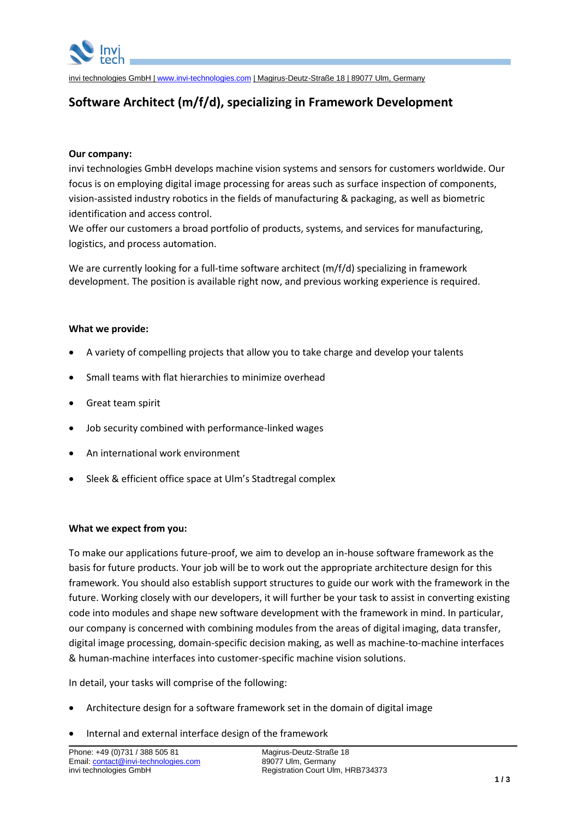

invi technologies GmbH | [www.invi-technologies.com](http://www.invi-technologies.com/) | Magirus-Deutz-Straße 18 | 89077 Ulm, Germany

# **Software Architect (m/f/d), specializing in Framework Development**

# **Our company:**

invi technologies GmbH develops machine vision systems and sensors for customers worldwide. Our focus is on employing digital image processing for areas such as surface inspection of components, vision-assisted industry robotics in the fields of manufacturing & packaging, as well as biometric identification and access control.

We offer our customers a broad portfolio of products, systems, and services for manufacturing, logistics, and process automation.

We are currently looking for a full-time software architect (m/f/d) specializing in framework development. The position is available right now, and previous working experience is required.

# **What we provide:**

- A variety of compelling projects that allow you to take charge and develop your talents
- Small teams with flat hierarchies to minimize overhead
- Great team spirit
- Job security combined with performance-linked wages
- An international work environment
- Sleek & efficient office space at Ulm's Stadtregal complex

### **What we expect from you:**

To make our applications future-proof, we aim to develop an in-house software framework as the basis for future products. Your job will be to work out the appropriate architecture design for this framework. You should also establish support structures to guide our work with the framework in the future. Working closely with our developers, it will further be your task to assist in converting existing code into modules and shape new software development with the framework in mind. In particular, our company is concerned with combining modules from the areas of digital imaging, data transfer, digital image processing, domain-specific decision making, as well as machine-to-machine interfaces & human-machine interfaces into customer-specific machine vision solutions.

In detail, your tasks will comprise of the following:

- Architecture design for a software framework set in the domain of digital image
- Internal and external interface design of the framework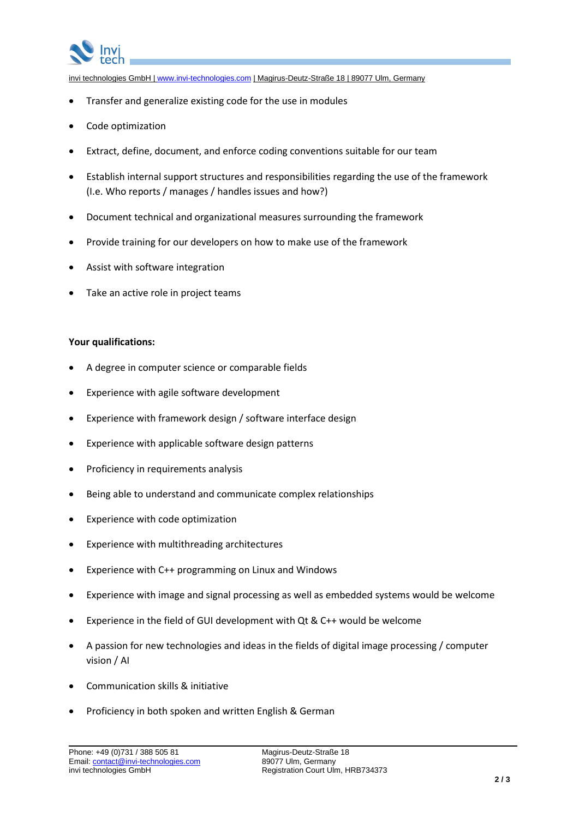

invi technologies GmbH | [www.invi-technologies.com](http://www.invi-technologies.com/) | Magirus-Deutz-Straße 18 | 89077 Ulm, Germany

- Transfer and generalize existing code for the use in modules
- Code optimization
- Extract, define, document, and enforce coding conventions suitable for our team
- Establish internal support structures and responsibilities regarding the use of the framework (I.e. Who reports / manages / handles issues and how?)
- Document technical and organizational measures surrounding the framework
- Provide training for our developers on how to make use of the framework
- Assist with software integration
- Take an active role in project teams

# **Your qualifications:**

- A degree in computer science or comparable fields
- Experience with agile software development
- Experience with framework design / software interface design
- Experience with applicable software design patterns
- Proficiency in requirements analysis
- Being able to understand and communicate complex relationships
- Experience with code optimization
- Experience with multithreading architectures
- Experience with C++ programming on Linux and Windows
- Experience with image and signal processing as well as embedded systems would be welcome
- Experience in the field of GUI development with Qt & C++ would be welcome
- A passion for new technologies and ideas in the fields of digital image processing / computer vision / AI
- Communication skills & initiative
- Proficiency in both spoken and written English & German